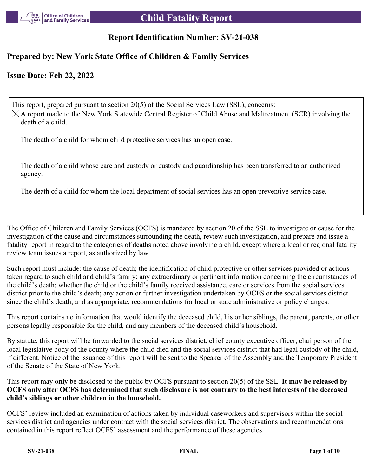

# **Report Identification Number: SV-21-038**

# **Prepared by: New York State Office of Children & Family Services**

# **Issue Date: Feb 22, 2022**

This report, prepared pursuant to section 20(5) of the Social Services Law (SSL), concerns:  $\boxtimes$ A report made to the New York Statewide Central Register of Child Abuse and Maltreatment (SCR) involving the death of a child.

The death of a child for whom child protective services has an open case.

The death of a child whose care and custody or custody and guardianship has been transferred to an authorized agency.

The death of a child for whom the local department of social services has an open preventive service case.

The Office of Children and Family Services (OCFS) is mandated by section 20 of the SSL to investigate or cause for the investigation of the cause and circumstances surrounding the death, review such investigation, and prepare and issue a fatality report in regard to the categories of deaths noted above involving a child, except where a local or regional fatality review team issues a report, as authorized by law.

Such report must include: the cause of death; the identification of child protective or other services provided or actions taken regard to such child and child's family; any extraordinary or pertinent information concerning the circumstances of the child's death; whether the child or the child's family received assistance, care or services from the social services district prior to the child's death; any action or further investigation undertaken by OCFS or the social services district since the child's death; and as appropriate, recommendations for local or state administrative or policy changes.

This report contains no information that would identify the deceased child, his or her siblings, the parent, parents, or other persons legally responsible for the child, and any members of the deceased child's household.

By statute, this report will be forwarded to the social services district, chief county executive officer, chairperson of the local legislative body of the county where the child died and the social services district that had legal custody of the child, if different. Notice of the issuance of this report will be sent to the Speaker of the Assembly and the Temporary President of the Senate of the State of New York.

This report may **only** be disclosed to the public by OCFS pursuant to section 20(5) of the SSL. **It may be released by OCFS only after OCFS has determined that such disclosure is not contrary to the best interests of the deceased child's siblings or other children in the household.**

OCFS' review included an examination of actions taken by individual caseworkers and supervisors within the social services district and agencies under contract with the social services district. The observations and recommendations contained in this report reflect OCFS' assessment and the performance of these agencies.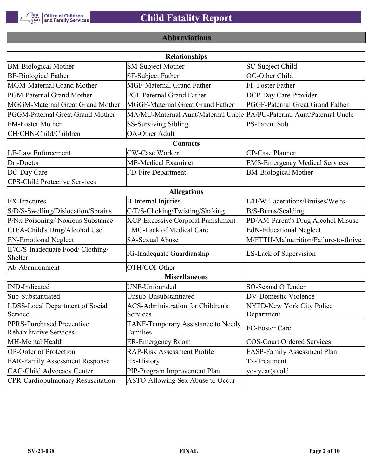

# **Abbreviations**

| <b>Relationships</b>                                 |                                                                       |                                       |  |  |  |
|------------------------------------------------------|-----------------------------------------------------------------------|---------------------------------------|--|--|--|
| <b>BM-Biological Mother</b>                          | SM-Subject Mother                                                     | SC-Subject Child                      |  |  |  |
| <b>BF-Biological Father</b>                          | SF-Subject Father                                                     | OC-Other Child                        |  |  |  |
| MGM-Maternal Grand Mother                            | <b>MGF-Maternal Grand Father</b>                                      | FF-Foster Father                      |  |  |  |
| PGM-Paternal Grand Mother                            | PGF-Paternal Grand Father                                             | DCP-Day Care Provider                 |  |  |  |
| MGGM-Maternal Great Grand Mother                     | MGGF-Maternal Great Grand Father                                      | PGGF-Paternal Great Grand Father      |  |  |  |
| PGGM-Paternal Great Grand Mother                     | MA/MU-Maternal Aunt/Maternal Uncle PA/PU-Paternal Aunt/Paternal Uncle |                                       |  |  |  |
| <b>FM-Foster Mother</b>                              | <b>SS-Surviving Sibling</b>                                           | <b>PS-Parent Sub</b>                  |  |  |  |
| CH/CHN-Child/Children                                | <b>OA-Other Adult</b>                                                 |                                       |  |  |  |
|                                                      | Contacts                                                              |                                       |  |  |  |
| <b>LE-Law Enforcement</b>                            | <b>CW-Case Worker</b>                                                 | CP-Case Planner                       |  |  |  |
| Dr.-Doctor                                           | ME-Medical Examiner                                                   | <b>EMS-Emergency Medical Services</b> |  |  |  |
| DC-Day Care                                          | FD-Fire Department                                                    | <b>BM-Biological Mother</b>           |  |  |  |
| <b>CPS-Child Protective Services</b>                 |                                                                       |                                       |  |  |  |
|                                                      | <b>Allegations</b>                                                    |                                       |  |  |  |
| <b>FX-Fractures</b>                                  | <b>II-Internal Injuries</b>                                           | L/B/W-Lacerations/Bruises/Welts       |  |  |  |
| S/D/S-Swelling/Dislocation/Sprains                   | C/T/S-Choking/Twisting/Shaking                                        | B/S-Burns/Scalding                    |  |  |  |
| P/Nx-Poisoning/ Noxious Substance                    | <b>XCP-Excessive Corporal Punishment</b>                              | PD/AM-Parent's Drug Alcohol Misuse    |  |  |  |
| CD/A-Child's Drug/Alcohol Use                        | <b>LMC-Lack of Medical Care</b>                                       | <b>EdN-Educational Neglect</b>        |  |  |  |
| <b>EN-Emotional Neglect</b>                          | <b>SA-Sexual Abuse</b>                                                | M/FTTH-Malnutrition/Failure-to-thrive |  |  |  |
| IF/C/S-Inadequate Food/ Clothing/<br>Shelter         | <b>IG-Inadequate Guardianship</b>                                     | LS-Lack of Supervision                |  |  |  |
| Ab-Abandonment                                       | OTH/COI-Other                                                         |                                       |  |  |  |
|                                                      | <b>Miscellaneous</b>                                                  |                                       |  |  |  |
| <b>IND-Indicated</b>                                 | UNF-Unfounded                                                         | SO-Sexual Offender                    |  |  |  |
| Sub-Substantiated                                    | Unsub-Unsubstantiated                                                 | <b>DV-Domestic Violence</b>           |  |  |  |
| LDSS-Local Department of Social                      | <b>ACS-Administration for Children's</b>                              | NYPD-New York City Police             |  |  |  |
| Service                                              | Services                                                              | Department                            |  |  |  |
| PPRS-Purchased Preventive<br>Rehabilitative Services | TANF-Temporary Assistance to Needy<br>Families                        | FC-Foster Care                        |  |  |  |
| MH-Mental Health                                     | <b>ER-Emergency Room</b>                                              | <b>COS-Court Ordered Services</b>     |  |  |  |
| <b>OP-Order of Protection</b>                        | <b>RAP-Risk Assessment Profile</b>                                    | FASP-Family Assessment Plan           |  |  |  |
| <b>FAR-Family Assessment Response</b>                | Hx-History                                                            | Tx-Treatment                          |  |  |  |
| <b>CAC-Child Advocacy Center</b>                     | PIP-Program Improvement Plan                                          | yo-year(s) old                        |  |  |  |
| <b>CPR-Cardiopulmonary Resuscitation</b>             | ASTO-Allowing Sex Abuse to Occur                                      |                                       |  |  |  |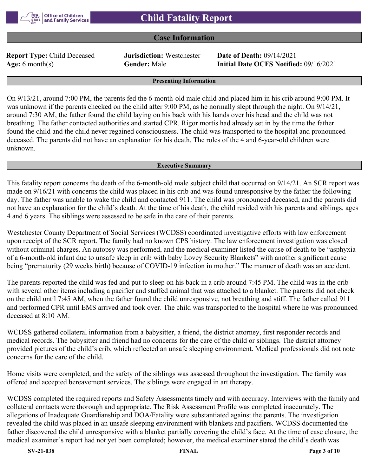#### **Case Information**

**Report Type:** Child Deceased **Jurisdiction:** Westchester **Date of Death:** 09/14/2021

**Age:** 6 month(s) **Gender:** Male **Initial Date OCFS Notified:** 09/16/2021

#### **Presenting Information**

On 9/13/21, around 7:00 PM, the parents fed the 6-month-old male child and placed him in his crib around 9:00 PM. It was unknown if the parents checked on the child after 9:00 PM, as he normally slept through the night. On  $9/14/21$ , around 7:30 AM, the father found the child laying on his back with his hands over his head and the child was not breathing. The father contacted authorities and started CPR. Rigor mortis had already set in by the time the father found the child and the child never regained consciousness. The child was transported to the hospital and pronounced deceased. The parents did not have an explanation for his death. The roles of the 4 and 6-year-old children were unknown.

#### **Executive Summary**

This fatality report concerns the death of the 6-month-old male subject child that occurred on 9/14/21. An SCR report was made on 9/16/21 with concerns the child was placed in his crib and was found unresponsive by the father the following day. The father was unable to wake the child and contacted 911. The child was pronounced deceased, and the parents did not have an explanation for the child's death. At the time of his death, the child resided with his parents and siblings, ages 4 and 6 years. The siblings were assessed to be safe in the care of their parents.

Westchester County Department of Social Services (WCDSS) coordinated investigative efforts with law enforcement upon receipt of the SCR report. The family had no known CPS history. The law enforcement investigation was closed without criminal charges. An autopsy was performed, and the medical examiner listed the cause of death to be "asphyxia of a 6-month-old infant due to unsafe sleep in crib with baby Lovey Security Blankets" with another significant cause being "prematurity (29 weeks birth) because of COVID-19 infection in mother." The manner of death was an accident.

The parents reported the child was fed and put to sleep on his back in a crib around 7:45 PM. The child was in the crib with several other items including a pacifier and stuffed animal that was attached to a blanket. The parents did not check on the child until 7:45 AM, when the father found the child unresponsive, not breathing and stiff. The father called 911 and performed CPR until EMS arrived and took over. The child was transported to the hospital where he was pronounced deceased at 8:10 AM.

WCDSS gathered collateral information from a babysitter, a friend, the district attorney, first responder records and medical records. The babysitter and friend had no concerns for the care of the child or siblings. The district attorney provided pictures of the child's crib, which reflected an unsafe sleeping environment. Medical professionals did not note concerns for the care of the child.

Home visits were completed, and the safety of the siblings was assessed throughout the investigation. The family was offered and accepted bereavement services. The siblings were engaged in art therapy.

WCDSS completed the required reports and Safety Assessments timely and with accuracy. Interviews with the family and collateral contacts were thorough and appropriate. The Risk Assessment Profile was completed inaccurately. The allegations of Inadequate Guardianship and DOA/Fatality were substantiated against the parents. The investigation revealed the child was placed in an unsafe sleeping environment with blankets and pacifiers. WCDSS documented the father discovered the child unresponsive with a blanket partially covering the child's face. At the time of case closure, the medical examiner's report had not yet been completed; however, the medical examiner stated the child's death was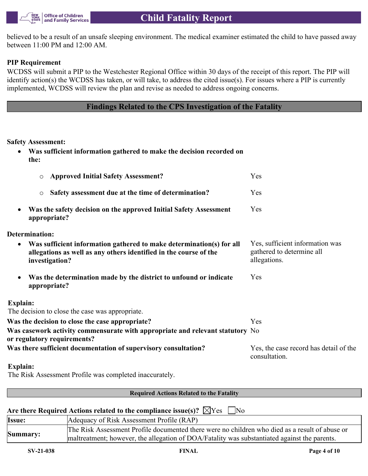

believed to be a result of an unsafe sleeping environment. The medical examiner estimated the child to have passed away between 11:00 PM and 12:00 AM.

#### **PIP Requirement**

WCDSS will submit a PIP to the Westchester Regional Office within 30 days of the receipt of this report. The PIP will identify action(s) the WCDSS has taken, or will take, to address the cited issue(s). For issues where a PIP is currently implemented, WCDSS will review the plan and revise as needed to address ongoing concerns.

### **Findings Related to the CPS Investigation of the Fatality**

#### **Safety Assessment:**

| Was sufficient information gathered to make the decision recorded on<br>the:                                                                                             |                                                                              |
|--------------------------------------------------------------------------------------------------------------------------------------------------------------------------|------------------------------------------------------------------------------|
| <b>Approved Initial Safety Assessment?</b><br>$\circ$                                                                                                                    | Yes                                                                          |
| Safety assessment due at the time of determination?<br>$\circ$                                                                                                           | Yes                                                                          |
| Was the safety decision on the approved Initial Safety Assessment<br>$\bullet$<br>appropriate?                                                                           | Yes                                                                          |
| <b>Determination:</b>                                                                                                                                                    |                                                                              |
| Was sufficient information gathered to make determination(s) for all<br>$\bullet$<br>allegations as well as any others identified in the course of the<br>investigation? | Yes, sufficient information was<br>gathered to determine all<br>allegations. |
| Was the determination made by the district to unfound or indicate<br>$\bullet$<br>appropriate?                                                                           | Yes                                                                          |
| Explain:                                                                                                                                                                 |                                                                              |
| The decision to close the case was appropriate.                                                                                                                          |                                                                              |
| Was the decision to close the case appropriate?                                                                                                                          | Yes                                                                          |
| Was casework activity commensurate with appropriate and relevant statutory No<br>or regulatory requirements?                                                             |                                                                              |
| Was there sufficient documentation of supervisory consultation?                                                                                                          | Yes, the case record has detail of the<br>consultation.                      |
|                                                                                                                                                                          |                                                                              |

#### **Explain:** The Risk Assessment Profile was completed inaccurately.

#### **Required Actions Related to the Fatality**

#### Are there Required Actions related to the compliance issue(s)?  $\chi$ <sup>Y</sup>es  $\Box$  No

| Issue:   | Adequacy of Risk Assessment Profile (RAP)                                                                                                                                                      |
|----------|------------------------------------------------------------------------------------------------------------------------------------------------------------------------------------------------|
| Summary: | The Risk Assessment Profile documented there were no children who died as a result of abuse or<br>maltreatment; however, the allegation of DOA/Fatality was substantiated against the parents. |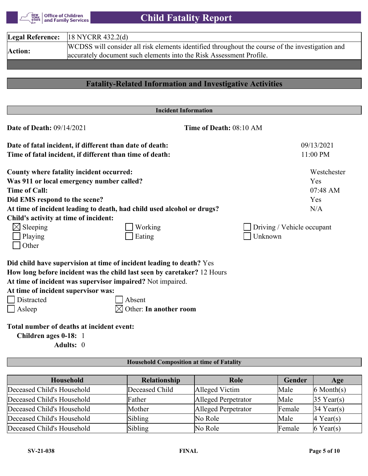Office of Children<br>| and Family Services NEW<br>YORK<br>STATE

 **Child Fatality Report**

|                | <b>Legal Reference:</b> $ 18 \text{ NYCRR } 432.2(\text{d}) $                                                                                                          |
|----------------|------------------------------------------------------------------------------------------------------------------------------------------------------------------------|
| <b>Action:</b> | WCDSS will consider all risk elements identified throughout the course of the investigation and<br>accurately document such elements into the Risk Assessment Profile. |

# **Fatality-Related Information and Investigative Activities**

|                                                          | <b>Incident Information</b>                                             |                            |             |
|----------------------------------------------------------|-------------------------------------------------------------------------|----------------------------|-------------|
| <b>Date of Death: 09/14/2021</b>                         | Time of Death: 08:10 AM                                                 |                            |             |
| Date of fatal incident, if different than date of death: |                                                                         |                            | 09/13/2021  |
| Time of fatal incident, if different than time of death: |                                                                         |                            | 11:00 PM    |
| County where fatality incident occurred:                 |                                                                         |                            | Westchester |
| Was 911 or local emergency number called?                |                                                                         |                            | Yes         |
| <b>Time of Call:</b>                                     |                                                                         |                            | 07:48 AM    |
| Did EMS respond to the scene?                            |                                                                         |                            | Yes         |
|                                                          | At time of incident leading to death, had child used alcohol or drugs?  |                            | N/A         |
| Child's activity at time of incident:                    |                                                                         |                            |             |
| $\boxtimes$ Sleeping                                     | Working                                                                 | Driving / Vehicle occupant |             |
| Playing                                                  | Eating                                                                  | Unknown                    |             |
| Other                                                    |                                                                         |                            |             |
|                                                          | Did child have supervision at time of incident leading to death? Yes    |                            |             |
|                                                          | How long before incident was the child last seen by caretaker? 12 Hours |                            |             |
|                                                          | At time of incident was supervisor impaired? Not impaired.              |                            |             |
| At time of incident supervisor was:                      |                                                                         |                            |             |
| Distracted                                               | Absent                                                                  |                            |             |
| Asleep                                                   | Other: In another room                                                  |                            |             |
| Total number of deaths at incident event:                |                                                                         |                            |             |
| Children ages 0-18: 1                                    |                                                                         |                            |             |
| Adults: 0                                                |                                                                         |                            |             |
|                                                          | <b>Household Composition at time of Fatality</b>                        |                            |             |

| <b>Household</b>           | <b>Relationship</b> | Role                | Gender | Age                   |
|----------------------------|---------------------|---------------------|--------|-----------------------|
| Deceased Child's Household | Deceased Child      | Alleged Victim      | Male   | $6$ Month $(s)$       |
| Deceased Child's Household | Father              | Alleged Perpetrator | Male   | $35$ Year(s)          |
| Deceased Child's Household | Mother              | Alleged Perpetrator | Female | $34$ Year(s)          |
| Deceased Child's Household | Sibling             | No Role             | Male   | $ 4 \text{ Year}(s) $ |
| Deceased Child's Household | Sibling             | No Role             | Female | $6$ Year(s)           |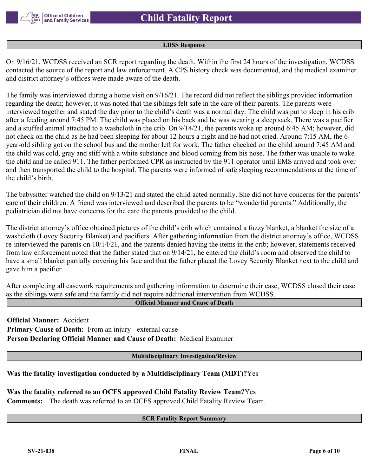

#### **LDSS Response**

On 9/16/21, WCDSS received an SCR report regarding the death. Within the first 24 hours of the investigation, WCDSS contacted the source of the report and law enforcement. A CPS history check was documented, and the medical examiner and district attorney's offices were made aware of the death.

The family was interviewed during a home visit on 9/16/21. The record did not reflect the siblings provided information regarding the death; however, it was noted that the siblings felt safe in the care of their parents. The parents were interviewed together and stated the day prior to the child's death was a normal day. The child was put to sleep in his crib after a feeding around 7:45 PM. The child was placed on his back and he was wearing a sleep sack. There was a pacifier and a stuffed animal attached to a washcloth in the crib. On 9/14/21, the parents woke up around 6:45 AM; however, did not check on the child as he had been sleeping for about 12 hours a night and he had not cried. Around 7:15 AM, the 6 year-old sibling got on the school bus and the mother left for work. The father checked on the child around 7:45 AM and the child was cold, gray and stiff with a white substance and blood coming from his nose. The father was unable to wake the child and he called 911. The father performed CPR as instructed by the 911 operator until EMS arrived and took over and then transported the child to the hospital. The parents were informed of safe sleeping recommendations at the time of the child's birth.

The babysitter watched the child on 9/13/21 and stated the child acted normally. She did not have concerns for the parents' care of their children. A friend was interviewed and described the parents to be "wonderful parents." Additionally, the pediatrician did not have concerns for the care the parents provided to the child.

The district attorney's office obtained pictures of the child's crib which contained a fuzzy blanket, a blanket the size of a washcloth (Lovey Security Blanket) and pacifiers. After gathering information from the district attorney's office, WCDSS re-interviewed the parents on 10/14/21, and the parents denied having the items in the crib; however, statements received from law enforcement noted that the father stated that on 9/14/21, he entered the child's room and observed the child to have a small blanket partially covering his face and that the father placed the Lovey Security Blanket next to the child and gave him a pacifier.

After completing all casework requirements and gathering information to determine their case, WCDSS closed their case as the siblings were safe and the family did not require additional intervention from WCDSS.

#### **Official Manner and Cause of Death**

**Official Manner:** Accident **Primary Cause of Death:** From an injury - external cause **Person Declaring Official Manner and Cause of Death:** Medical Examiner

**Multidisciplinary Investigation/Review**

**Was the fatality investigation conducted by a Multidisciplinary Team (MDT)?**Yes

**Was the fatality referred to an OCFS approved Child Fatality Review Team?**Yes **Comments:** The death was referred to an OCFS approved Child Fatality Review Team.

#### **SCR Fatality Report Summary**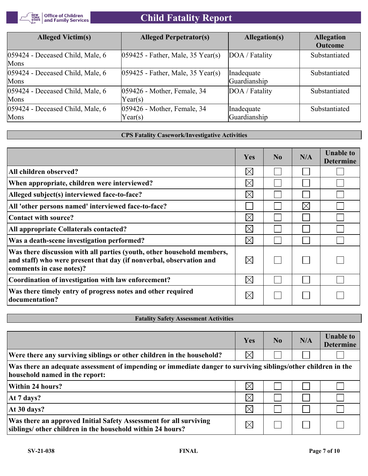

# **Child Fatality Report**

| <b>Alleged Victim(s)</b>                 | <b>Alleged Perpetrator(s)</b>                   | Allegation(s)              | <b>Allegation</b><br><b>Outcome</b> |
|------------------------------------------|-------------------------------------------------|----------------------------|-------------------------------------|
| 059424 - Deceased Child, Male, 6<br>Mons | $ 059425$ - Father, Male, 35 Year(s)            | DOA / Fatality             | Substantiated                       |
| 059424 - Deceased Child, Male, 6<br>Mons | $ 059425$ - Father, Male, 35 Year(s)            | Inadequate<br>Guardianship | Substantiated                       |
| 059424 - Deceased Child, Male, 6<br>Mons | 059426 - Mother, Female, 34<br>Year(s)          | DOA / Fatality             | Substantiated                       |
| 059424 - Deceased Child, Male, 6<br>Mons | 059426 - Mother, Female, 34<br>$\text{Year}(s)$ | Inadequate<br>Guardianship | Substantiated                       |

#### **CPS Fatality Casework/Investigative Activities**

|                                                                                                                                                                           | Yes         | $\bf No$ | N/A         | <b>Unable to</b><br><b>Determine</b> |
|---------------------------------------------------------------------------------------------------------------------------------------------------------------------------|-------------|----------|-------------|--------------------------------------|
| All children observed?                                                                                                                                                    | $\boxtimes$ |          |             |                                      |
| When appropriate, children were interviewed?                                                                                                                              | $\boxtimes$ |          |             |                                      |
| Alleged subject(s) interviewed face-to-face?                                                                                                                              | $\boxtimes$ |          |             |                                      |
| All 'other persons named' interviewed face-to-face?                                                                                                                       |             |          | $\boxtimes$ |                                      |
| Contact with source?                                                                                                                                                      | $\boxtimes$ |          |             |                                      |
| All appropriate Collaterals contacted?                                                                                                                                    | $\boxtimes$ |          |             |                                      |
| Was a death-scene investigation performed?                                                                                                                                | $\boxtimes$ |          |             |                                      |
| Was there discussion with all parties (youth, other household members,<br>and staff) who were present that day (if nonverbal, observation and<br>comments in case notes)? | $\boxtimes$ |          |             |                                      |
| Coordination of investigation with law enforcement?                                                                                                                       | $\boxtimes$ |          |             |                                      |
| Was there timely entry of progress notes and other required<br>documentation?                                                                                             | $\boxtimes$ |          |             |                                      |

#### **Fatality Safety Assessment Activities**

|                                                                                                                                                 | Yes         | N <sub>0</sub> | N/A | <b>Unable to</b><br><b>Determine</b> |
|-------------------------------------------------------------------------------------------------------------------------------------------------|-------------|----------------|-----|--------------------------------------|
| Were there any surviving siblings or other children in the household?                                                                           | $\boxtimes$ |                |     |                                      |
| Was there an adequate assessment of impending or immediate danger to surviving siblings/other children in the<br>household named in the report: |             |                |     |                                      |
| <b>Within 24 hours?</b>                                                                                                                         | $\boxtimes$ |                |     |                                      |
| At 7 days?                                                                                                                                      | $\boxtimes$ |                |     |                                      |
| At 30 days?                                                                                                                                     | $\times$    |                |     |                                      |
| Was there an approved Initial Safety Assessment for all surviving<br>siblings/ other children in the household within 24 hours?                 | $\boxtimes$ |                |     |                                      |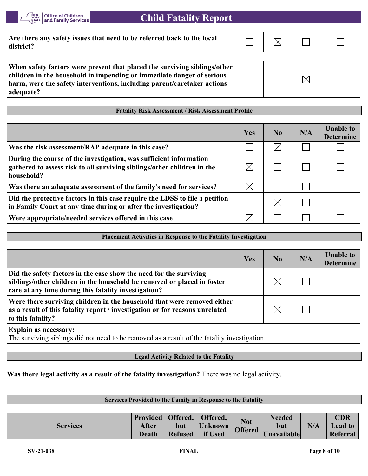

| Are there any safety issues that need to be referred back to the local<br>district?                                                                                                                                                        |  |  |
|--------------------------------------------------------------------------------------------------------------------------------------------------------------------------------------------------------------------------------------------|--|--|
| When safety factors were present that placed the surviving siblings/other<br>children in the household in impending or immediate danger of serious<br>harm, were the safety interventions, including parent/caretaker actions<br>adequate? |  |  |

#### **Fatality Risk Assessment / Risk Assessment Profile**

|                                                                                                                                                             | Yes         | N <sub>0</sub> | N/A | <b>Unable to</b><br><b>Determine</b> |
|-------------------------------------------------------------------------------------------------------------------------------------------------------------|-------------|----------------|-----|--------------------------------------|
| Was the risk assessment/RAP adequate in this case?                                                                                                          |             | $\times$       |     |                                      |
| During the course of the investigation, was sufficient information<br>gathered to assess risk to all surviving siblings/other children in the<br>household? | $\times$    |                |     |                                      |
| Was there an adequate assessment of the family's need for services?                                                                                         | $\boxtimes$ |                |     |                                      |
| Did the protective factors in this case require the LDSS to file a petition<br>in Family Court at any time during or after the investigation?               |             | $\times$       |     |                                      |
| Were appropriate/needed services offered in this case                                                                                                       | $\times$    |                |     |                                      |

#### **Placement Activities in Response to the Fatality Investigation**

|                                                                                                                                                                                                       | Yes | No.      | N/A | <b>Unable to</b><br><b>Determine</b> |
|-------------------------------------------------------------------------------------------------------------------------------------------------------------------------------------------------------|-----|----------|-----|--------------------------------------|
| Did the safety factors in the case show the need for the surviving<br>siblings/other children in the household be removed or placed in foster<br>care at any time during this fatality investigation? |     | $\times$ |     |                                      |
| Were there surviving children in the household that were removed either<br>as a result of this fatality report / investigation or for reasons unrelated<br>to this fatality?                          |     |          |     |                                      |
| <b>Explain as necessary:</b><br>The surviving siblings did not need to be removed as a result of the fatality investigation.                                                                          |     |          |     |                                      |

#### **Legal Activity Related to the Fatality**

#### **Was there legal activity as a result of the fatality investigation?** There was no legal activity.

| Services Provided to the Family in Response to the Fatality |                       |                       |                                                        |                              |                                     |     |                                          |
|-------------------------------------------------------------|-----------------------|-----------------------|--------------------------------------------------------|------------------------------|-------------------------------------|-----|------------------------------------------|
|                                                             |                       |                       |                                                        |                              |                                     |     |                                          |
| <b>Services</b>                                             | After<br><b>Death</b> | but<br><b>Refused</b> | Provided   Offered,   Offered,  <br>Unknown<br>if Used | <b>Not</b><br><b>Offered</b> | <b>Needed</b><br>but<br>Unavailable | N/A | <b>CDR</b><br><b>Lead to</b><br>Referral |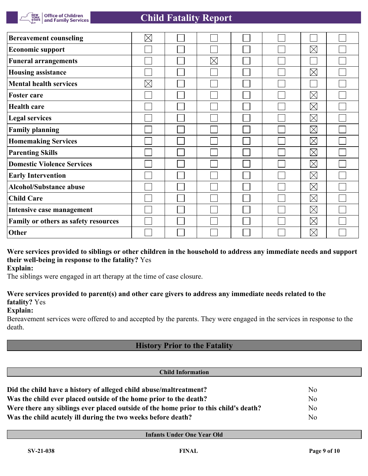

| <b>Bereavement counseling</b>        | $\boxtimes$ |          |  |             |  |
|--------------------------------------|-------------|----------|--|-------------|--|
| <b>Economic support</b>              |             |          |  | $\boxtimes$ |  |
| <b>Funeral arrangements</b>          |             | $\times$ |  |             |  |
| <b>Housing assistance</b>            |             |          |  | $\boxtimes$ |  |
| <b>Mental health services</b>        | $\boxtimes$ |          |  |             |  |
| <b>Foster care</b>                   |             |          |  | $\boxtimes$ |  |
| <b>Health care</b>                   |             |          |  | $\boxtimes$ |  |
| <b>Legal services</b>                |             |          |  | $\boxtimes$ |  |
| <b>Family planning</b>               |             |          |  | $\boxtimes$ |  |
| <b>Homemaking Services</b>           |             |          |  | $\boxtimes$ |  |
| <b>Parenting Skills</b>              |             |          |  | $\boxtimes$ |  |
| <b>Domestic Violence Services</b>    |             |          |  | $\boxtimes$ |  |
| <b>Early Intervention</b>            |             |          |  | $\boxtimes$ |  |
| <b>Alcohol/Substance abuse</b>       |             |          |  | $\boxtimes$ |  |
| <b>Child Care</b>                    |             |          |  | $\boxtimes$ |  |
| Intensive case management            |             |          |  | $\boxtimes$ |  |
| Family or others as safety resources |             |          |  | $\boxtimes$ |  |
| Other                                |             |          |  | $\times$    |  |

# **Were services provided to siblings or other children in the household to address any immediate needs and support their well-being in response to the fatality?** Yes

**Explain:**

The siblings were engaged in art therapy at the time of case closure.

# **Were services provided to parent(s) and other care givers to address any immediate needs related to the fatality?** Yes

#### **Explain:**

Bereavement services were offered to and accepted by the parents. They were engaged in the services in response to the death.

# **History Prior to the Fatality**

| <b>Child Information</b>                                                             |                |  |  |  |
|--------------------------------------------------------------------------------------|----------------|--|--|--|
| Did the child have a history of alleged child abuse/maltreatment?                    | N <sub>o</sub> |  |  |  |
| Was the child ever placed outside of the home prior to the death?                    | N <sub>o</sub> |  |  |  |
| Were there any siblings ever placed outside of the home prior to this child's death? | N <sub>o</sub> |  |  |  |
| Was the child acutely ill during the two weeks before death?                         | N <sub>o</sub> |  |  |  |

**Infants Under One Year Old**